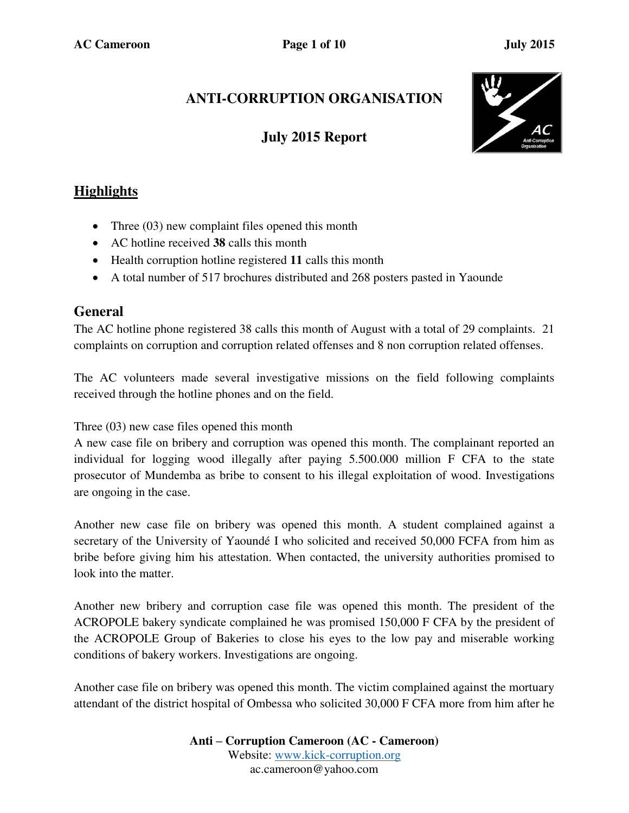# **ANTI-CORRUPTION ORGANISATION**

## **July 2015 Report**



## **Highlights**

- Three (03) new complaint files opened this month
- AC hotline received **38** calls this month
- Health corruption hotline registered **11** calls this month
- A total number of 517 brochures distributed and 268 posters pasted in Yaounde

#### **General**

The AC hotline phone registered 38 calls this month of August with a total of 29 complaints. 21 complaints on corruption and corruption related offenses and 8 non corruption related offenses.

The AC volunteers made several investigative missions on the field following complaints received through the hotline phones and on the field.

Three (03) new case files opened this month

A new case file on bribery and corruption was opened this month. The complainant reported an individual for logging wood illegally after paying 5.500.000 million F CFA to the state prosecutor of Mundemba as bribe to consent to his illegal exploitation of wood. Investigations are ongoing in the case.

Another new case file on bribery was opened this month. A student complained against a secretary of the University of Yaoundé I who solicited and received 50,000 FCFA from him as bribe before giving him his attestation. When contacted, the university authorities promised to look into the matter.

Another new bribery and corruption case file was opened this month. The president of the ACROPOLE bakery syndicate complained he was promised 150,000 F CFA by the president of the ACROPOLE Group of Bakeries to close his eyes to the low pay and miserable working conditions of bakery workers. Investigations are ongoing.

Another case file on bribery was opened this month. The victim complained against the mortuary attendant of the district hospital of Ombessa who solicited 30,000 F CFA more from him after he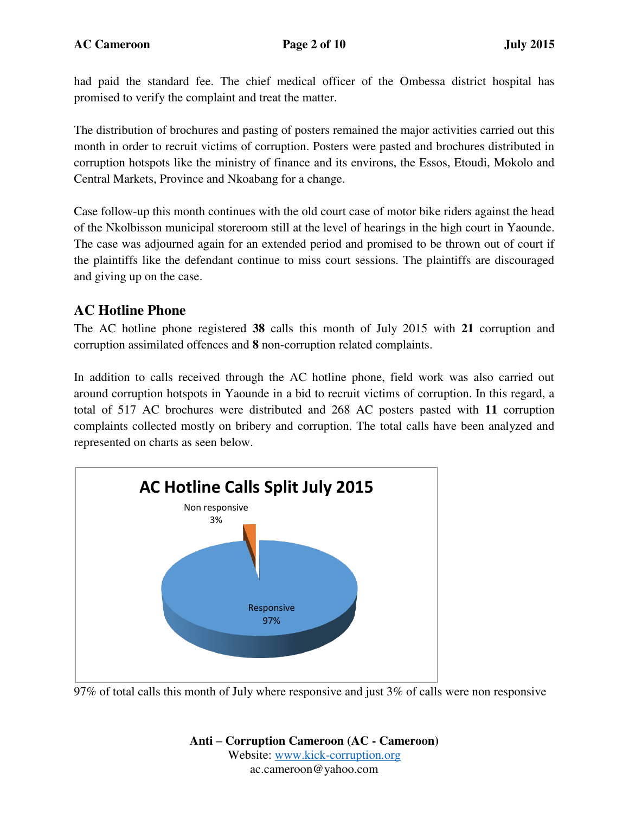had paid the standard fee. The chief medical officer of the Ombessa district hospital has promised to verify the complaint and treat the matter.

The distribution of brochures and pasting of posters remained the major activities carried out this month in order to recruit victims of corruption. Posters were pasted and brochures distributed in corruption hotspots like the ministry of finance and its environs, the Essos, Etoudi, Mokolo and Central Markets, Province and Nkoabang for a change.

Case follow-up this month continues with the old court case of motor bike riders against the head of the Nkolbisson municipal storeroom still at the level of hearings in the high court in Yaounde. The case was adjourned again for an extended period and promised to be thrown out of court if the plaintiffs like the defendant continue to miss court sessions. The plaintiffs are discouraged and giving up on the case.

### **AC Hotline Phone**

The AC hotline phone registered **38** calls this month of July 2015 with **21** corruption and corruption assimilated offences and **8** non-corruption related complaints.

In addition to calls received through the AC hotline phone, field work was also carried out around corruption hotspots in Yaounde in a bid to recruit victims of corruption. In this regard, a total of 517 AC brochures were distributed and 268 AC posters pasted with **11** corruption complaints collected mostly on bribery and corruption. The total calls have been analyzed and represented on charts as seen below.



97% of total calls this month of July where responsive and just 3% of calls were non responsive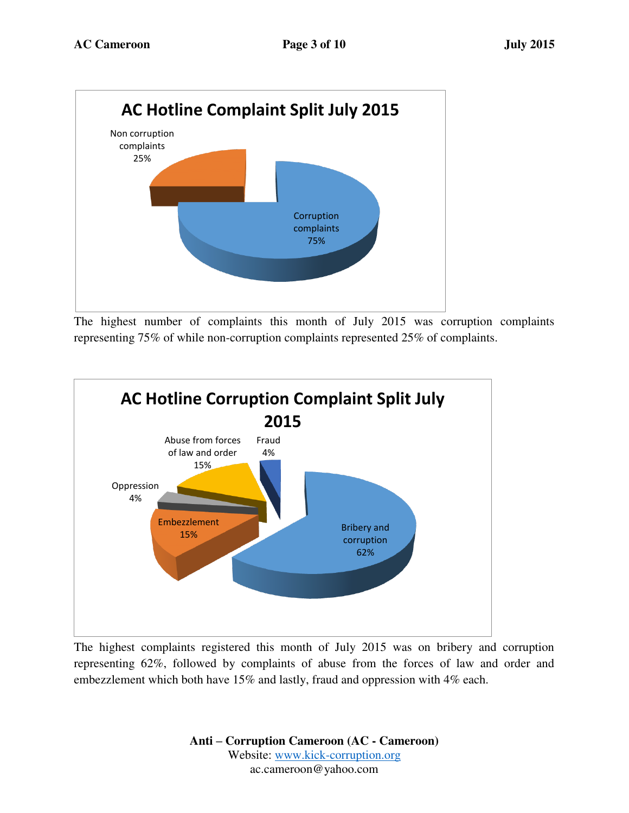

The highest number of complaints this month of July 2015 was corruption complaints representing 75% of while non-corruption complaints represented 25% of complaints.



The highest complaints registered this month of July 2015 was on bribery and corruption representing 62%, followed by complaints of abuse from the forces of law and order and embezzlement which both have 15% and lastly, fraud and oppression with 4% each.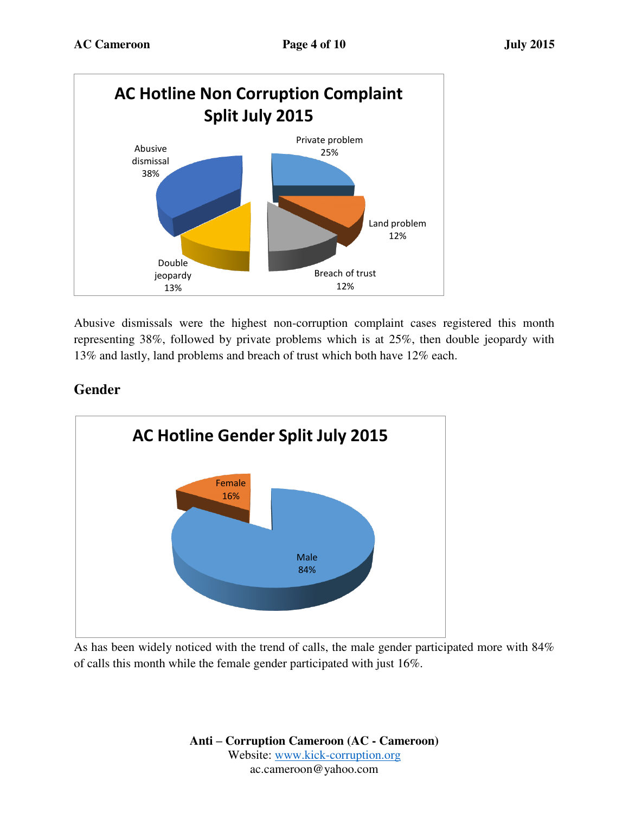

Abusive dismissals were the highest non-corruption complaint cases registered this month representing 38%, followed by private problems which is at 25%, then double jeopardy with 13% and lastly, land problems and breach of trust which both have 12% each.

## **Gender**



As has been widely noticed with the trend of calls, the male gender participated more with 84% of calls this month while the female gender participated with just 16%.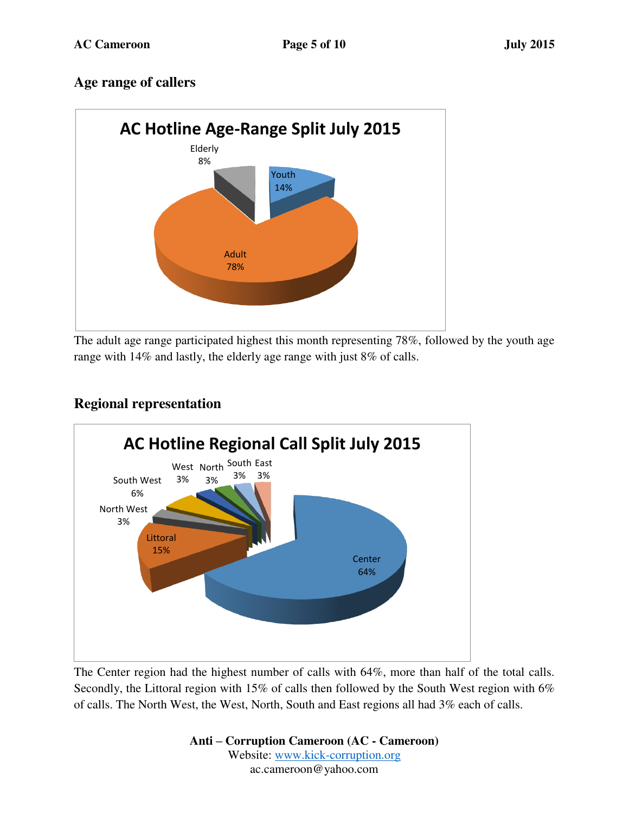### **Age range of callers**



The adult age range participated highest this month representing 78%, followed by the youth age range with 14% and lastly, the elderly age range with just 8% of calls.



### **Regional representation**

The Center region had the highest number of calls with 64%, more than half of the total calls. Secondly, the Littoral region with 15% of calls then followed by the South West region with 6% of calls. The North West, the West, North, South and East regions all had 3% each of calls.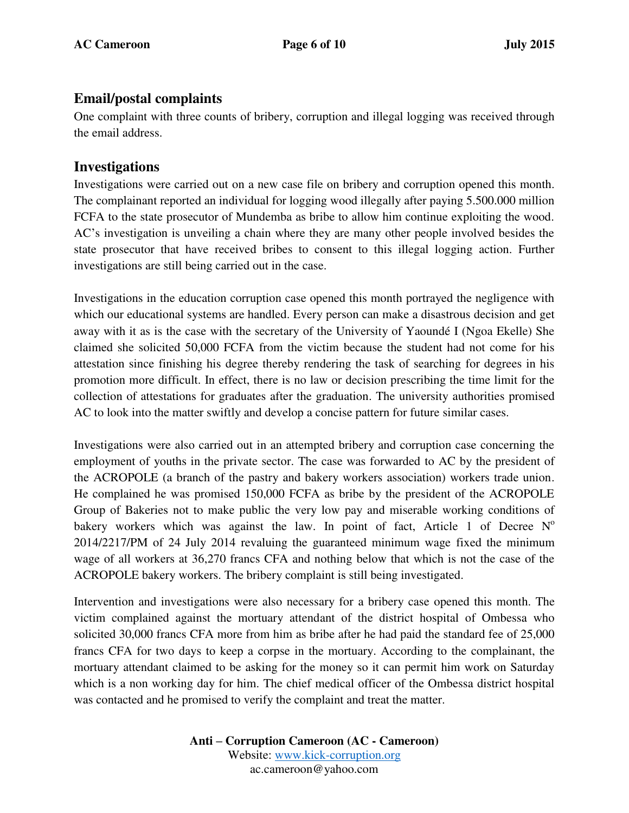#### **Email/postal complaints**

One complaint with three counts of bribery, corruption and illegal logging was received through the email address.

#### **Investigations**

Investigations were carried out on a new case file on bribery and corruption opened this month. The complainant reported an individual for logging wood illegally after paying 5.500.000 million FCFA to the state prosecutor of Mundemba as bribe to allow him continue exploiting the wood. AC's investigation is unveiling a chain where they are many other people involved besides the state prosecutor that have received bribes to consent to this illegal logging action. Further investigations are still being carried out in the case.

Investigations in the education corruption case opened this month portrayed the negligence with which our educational systems are handled. Every person can make a disastrous decision and get away with it as is the case with the secretary of the University of Yaoundé I (Ngoa Ekelle) She claimed she solicited 50,000 FCFA from the victim because the student had not come for his attestation since finishing his degree thereby rendering the task of searching for degrees in his promotion more difficult. In effect, there is no law or decision prescribing the time limit for the collection of attestations for graduates after the graduation. The university authorities promised AC to look into the matter swiftly and develop a concise pattern for future similar cases.

Investigations were also carried out in an attempted bribery and corruption case concerning the employment of youths in the private sector. The case was forwarded to AC by the president of the ACROPOLE (a branch of the pastry and bakery workers association) workers trade union. He complained he was promised 150,000 FCFA as bribe by the president of the ACROPOLE Group of Bakeries not to make public the very low pay and miserable working conditions of bakery workers which was against the law. In point of fact, Article 1 of Decree  $N^{\circ}$ 2014/2217/PM of 24 July 2014 revaluing the guaranteed minimum wage fixed the minimum wage of all workers at 36,270 francs CFA and nothing below that which is not the case of the ACROPOLE bakery workers. The bribery complaint is still being investigated.

Intervention and investigations were also necessary for a bribery case opened this month. The victim complained against the mortuary attendant of the district hospital of Ombessa who solicited 30,000 francs CFA more from him as bribe after he had paid the standard fee of 25,000 francs CFA for two days to keep a corpse in the mortuary. According to the complainant, the mortuary attendant claimed to be asking for the money so it can permit him work on Saturday which is a non working day for him. The chief medical officer of the Ombessa district hospital was contacted and he promised to verify the complaint and treat the matter.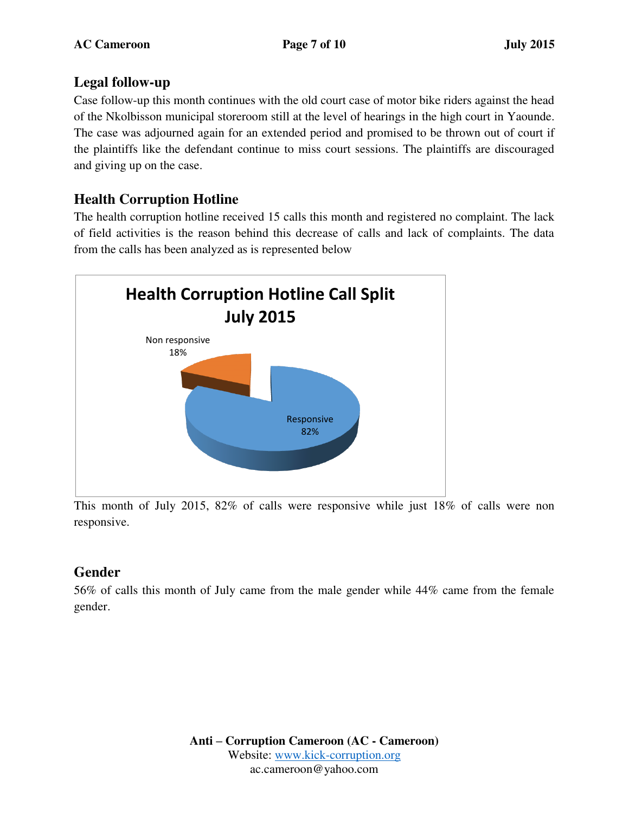### **Legal follow-up**

Case follow-up this month continues with the old court case of motor bike riders against the head of the Nkolbisson municipal storeroom still at the level of hearings in the high court in Yaounde. The case was adjourned again for an extended period and promised to be thrown out of court if the plaintiffs like the defendant continue to miss court sessions. The plaintiffs are discouraged and giving up on the case.

## **Health Corruption Hotline**

The health corruption hotline received 15 calls this month and registered no complaint. The lack of field activities is the reason behind this decrease of calls and lack of complaints. The data from the calls has been analyzed as is represented below



This month of July 2015, 82% of calls were responsive while just 18% of calls were non responsive.

## **Gender**

56% of calls this month of July came from the male gender while 44% came from the female gender.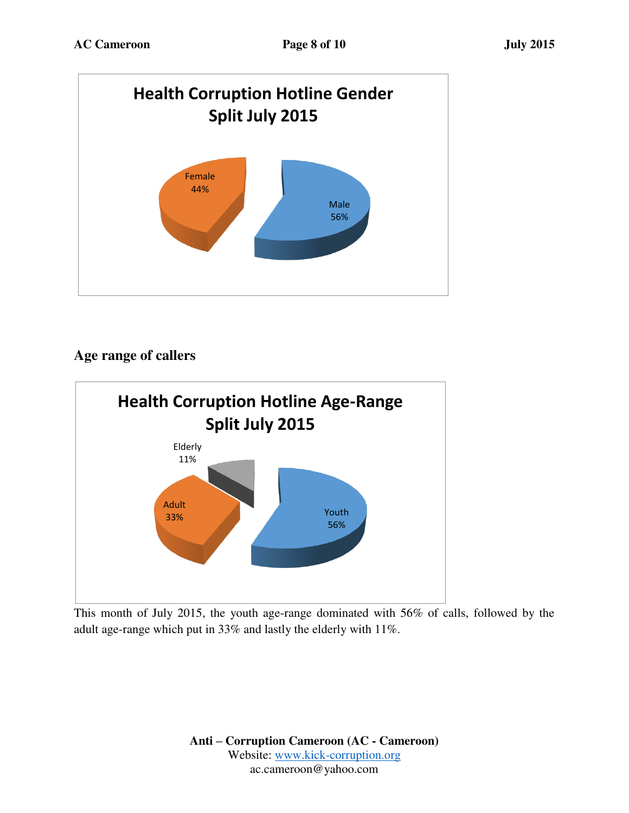

## **Age range of callers**



This month of July 2015, the youth age-range dominated with 56% of calls, followed by the adult age-range which put in 33% and lastly the elderly with 11%.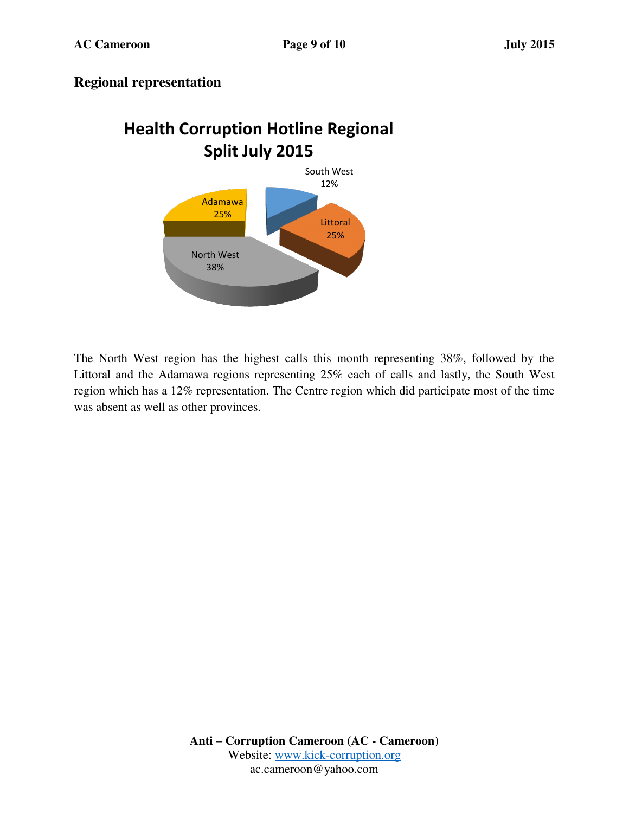### **Regional representation**



The North West region has the highest calls this month representing 38%, followed by the Littoral and the Adamawa regions representing 25% each of calls and lastly, the South West region which has a 12% representation. The Centre region which did participate most of the time was absent as well as other provinces.